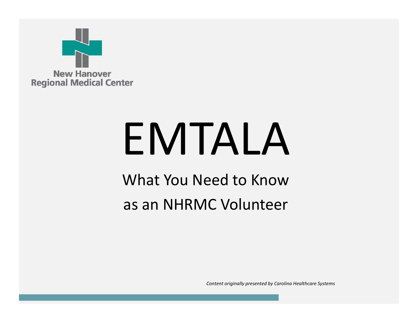

# EMTALA

 What You Need to Knowas an NHRMC Volunteer

Content originally presented by Carolina Healthcare Systems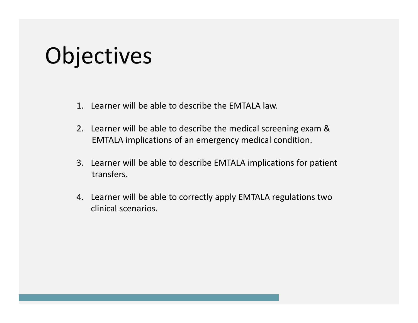# **Objectives**

- 1. Learner will be able to describe the EMTALA law.
- 2. Learner will be able to describe the medical screening exam &EMTALA implications of an emergency medical condition.
- 3. Learner will be able to describe EMTALA implications for patienttransfers.
- 4. Learner will be able to correctly apply EMTALA regulations twoclinical scenarios.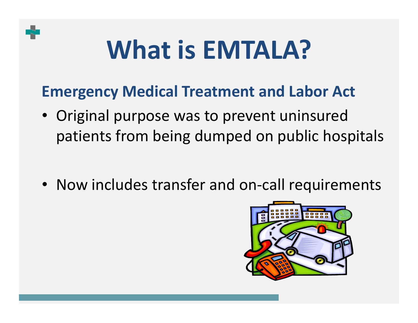

# What is EMTALA?

#### Emergency Medical Treatment and Labor Act

- Original purpose was to prevent uninsured patients from being dumped on public hospitals
- Now includes transfer and on-call requirements

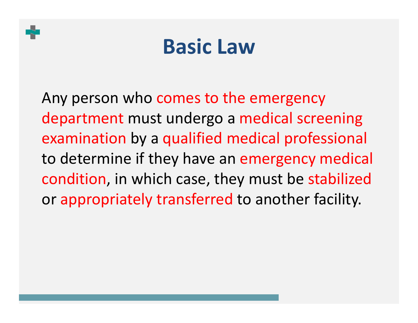

### Basic Law

Any person who comes to the emergency department must undergo a medical screening examination by a qualified medical professional to determine if they have an emergency medical condition, in which case, they must be stabilizedor appropriately transferred to another facility.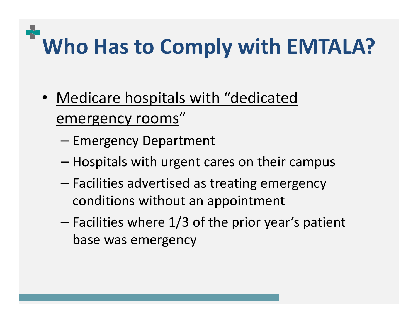# Who Has to Comply with EMTALA?

- Medicare hospitals with "dedicated emergency rooms"
	- –— Emergency Department
	- and the state of the state  $-$  Hospitals with urgent cares on their campus
	- – Facilities advertised as treating emergency conditions without an appointment
	- – $-$  Facilities where 1/3 of the prior year's patient base was emergency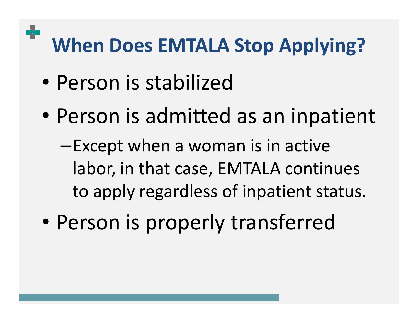# When Does EMTALA Stop Applying?

- •Person is stabilized
- •Person is admitted as an inpatient

–Except when a woman is in active labor, in that case, EMTALA continues to apply regardless of inpatient status.

 $\bullet$ Person is properly transferred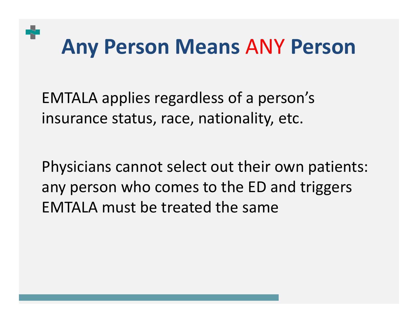

# Any Person Means ANY Person

EMTALA applies regardless of a person's insurance status, race, nationality, etc.

Physicians cannot select out their own patients: any person who comes to the ED and triggers EMTALA must be treated the same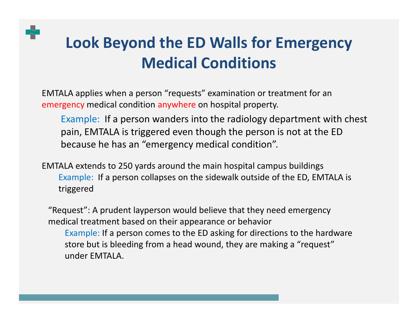

### Look Beyond the ED Walls for Emergency Medical Conditions

EMTALA applies when a person "requests" examination or treatment for an emergency medical condition anywhere on hospital property.

Example: If a person wanders into the radiology department with chest pain, EMTALA is triggered even though the person is not at the ED because he has an "emergency medical condition".

EMTALA extends to 250 yards around the main hospital campus buildingsExample: If a person collapses on the sidewalk outside of the ED, EMTALA is triggered

"Request": A prudent layperson would believe that they need emergency medical treatment based on their appearance or behavior

Example: If a person comes to the ED asking for directions to the hardware store but is bleeding from a head wound, they are making a "request" under EMTALA.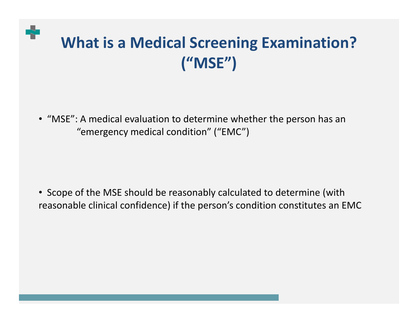

• "MSE": A medical evaluation to determine whether the person has an "emergency medical condition" ("EMC")

 $\frac{1}{\sqrt{2}}$ 

• Scope of the MSE should be reasonably calculated to determine (with reasonable clinical confidence) if the person's condition constitutes an EMC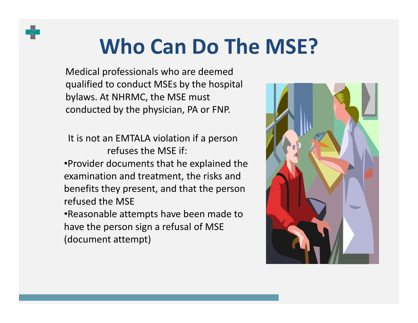

# Who Can Do The MSE?

Medical professionals who are deemed qualified to conduct MSEs by the hospital bylaws. At NHRMC, the MSE must conducted by the physician, PA or FNP.

It is not an EMTALA violation if a person refuses the MSE if: •Provider documents that he explained the examination and treatment, the risks and benefits they present, and that the person refused the MSE

 •Reasonable attempts have been made to have the person sign a refusal of MSE (document attempt)

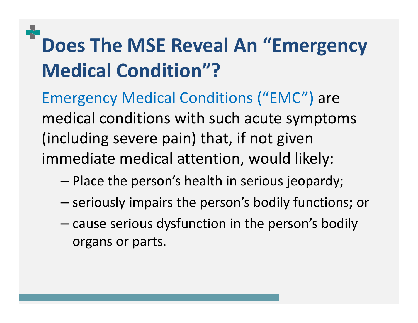# Does The MSE Reveal An "Emergency Medical Condition"?

Emergency Medical Conditions ("EMC") are medical conditions with such acute symptoms (including severe pain) that, if not given immediate medical attention, would likely:

- – $-$  Place the person's health in serious jeopardy;
- – $-$  seriously impairs the person's bodily functions; or
- – $-$  cause serious dysfunction in the person's bodily organs or parts.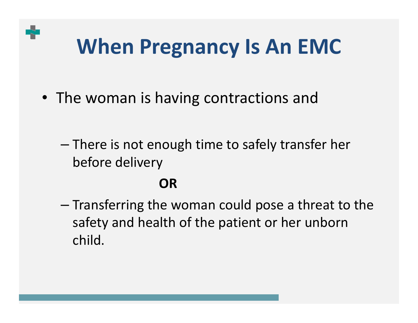

# When Pregnancy Is An EMC

- The woman is having contractions and
	- –- There is not enough time to safely transfer her before delivery

#### OR

– Transferring the woman could pose a threat to the safety and health of the patient or her unborn child.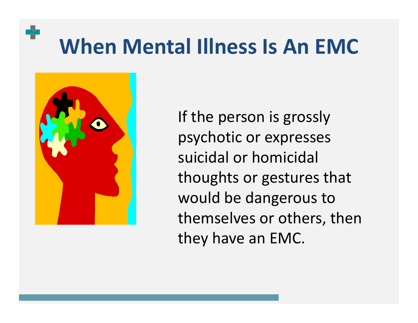# When Mental Illness Is An EMC



If the person is grossly psychotic or expresses suicidal or homicidal thoughts or gestures that would be dangerous to themselves or others, then they have an EMC.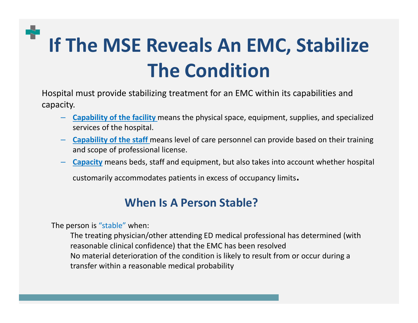# If The MSE Reveals An EMC, Stabilize The Condition

Hospital must provide stabilizing treatment for an EMC within its capabilities and capacity.

- Capability of the facility means the physical space, equipment, supplies, and specialized services of the hospital.
- Capability of the staff means level of care personnel can provide based on their training and scope of professional license.
- Capacity means beds, staff and equipment, but also takes into account whether hospital

customarily accommodates patients in excess of occupancy limits.

#### When Is A Person Stable?

The person is "stable" when:

The treating physician/other attending ED medical professional has determined (with reasonable clinical confidence) that the EMC has been resolved No material deterioration of the condition is likely to result from or occur during a transfer within a reasonable medical probability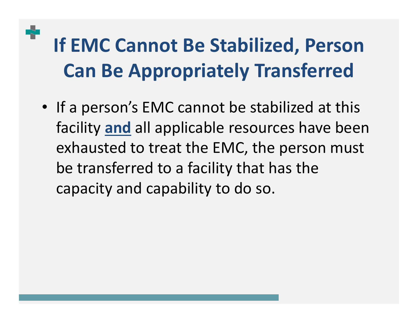# If EMC Cannot Be Stabilized, Person Can Be Appropriately Transferred

 $\frac{1}{\sqrt{2}}$ 

• If a person's EMC cannot be stabilized at this facility and all applicable resources have been exhausted to treat the EMC, the person must be transferred to a facility that has the capacity and capability to do so.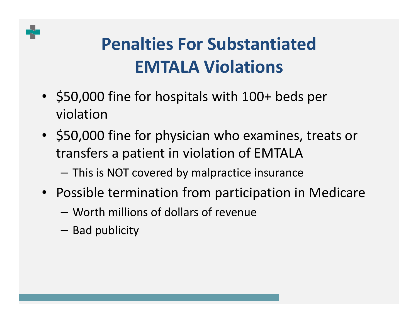

### Penalties For SubstantiatedEMTALA Violations

- \$50,000 fine for hospitals with 100+ beds per violation
- \$50,000 fine for physician who examines, treats or transfers a patient in violation of EMTALA
	- – $-$  This is NOT covered by malpractice insurance
- Possible termination from participation in Medicare
	- –Worth millions of dollars of revenue
	- – $-$  Bad publicity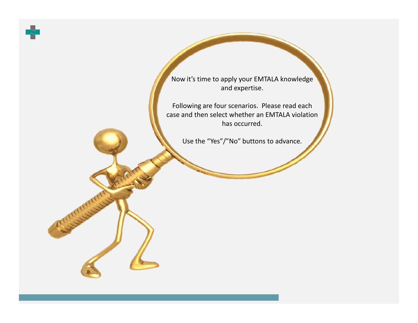

Children

Now it's time to apply your EMTALA knowledge and expertise.

Following are four scenarios. Please read each case and then select whether an EMTALA violation has occurred.

Use the "Yes"/"No" buttons to advance.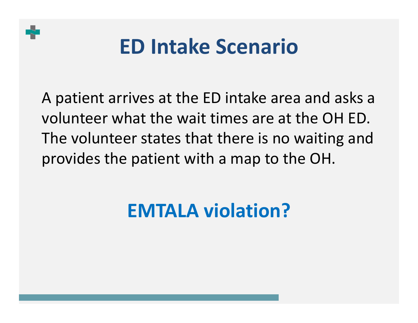

### ED Intake Scenario

A patient arrives at the ED intake area and asks a volunteer what the wait times are at the OH ED. The volunteer states that there is no waiting and provides the patient with a map to the OH.

### EMTALA violation?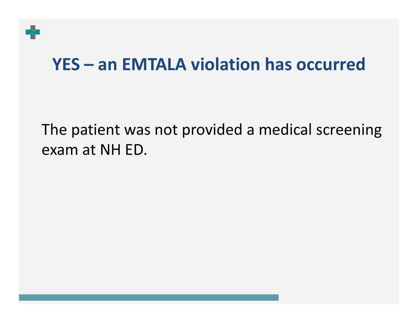

### YES – an EMTALA violation has occurred

### The patient was not provided a medical screening exam at NH ED.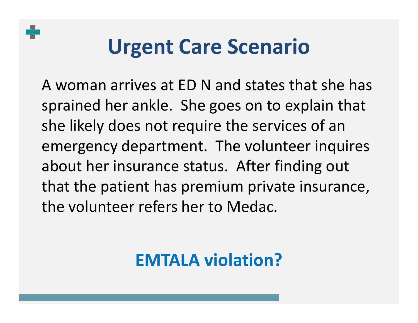

### Urgent Care Scenario

A woman arrives at ED N and states that she has sprained her ankle. She goes on to explain that she likely does not require the services of an emergency department. The volunteer inquires about her insurance status. After finding out that the patient has premium private insurance, the volunteer refers her to Medac.

### EMTALA violation?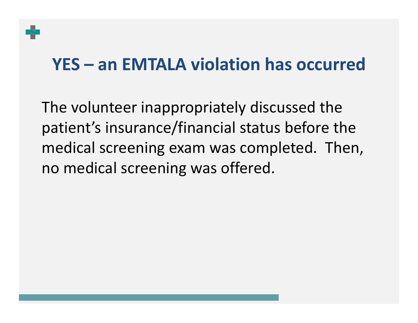

### YES – an EMTALA violation has occurred

The volunteer inappropriately discussed the patient's insurance/financial status before the medical screening exam was completed. Then, no medical screening was offered.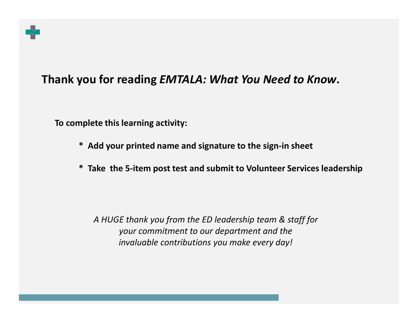

#### Thank you for reading EMTALA: What You Need to Know.

To complete this learning activity:

- \* Add your printed name and signature to the sign-in sheet
- \* Take the 5-item post test and submit to Volunteer Services leadership

A HUGE thank you from the ED leadership team & staff foryour commitment to our department and theinvaluable contributions you make every day!